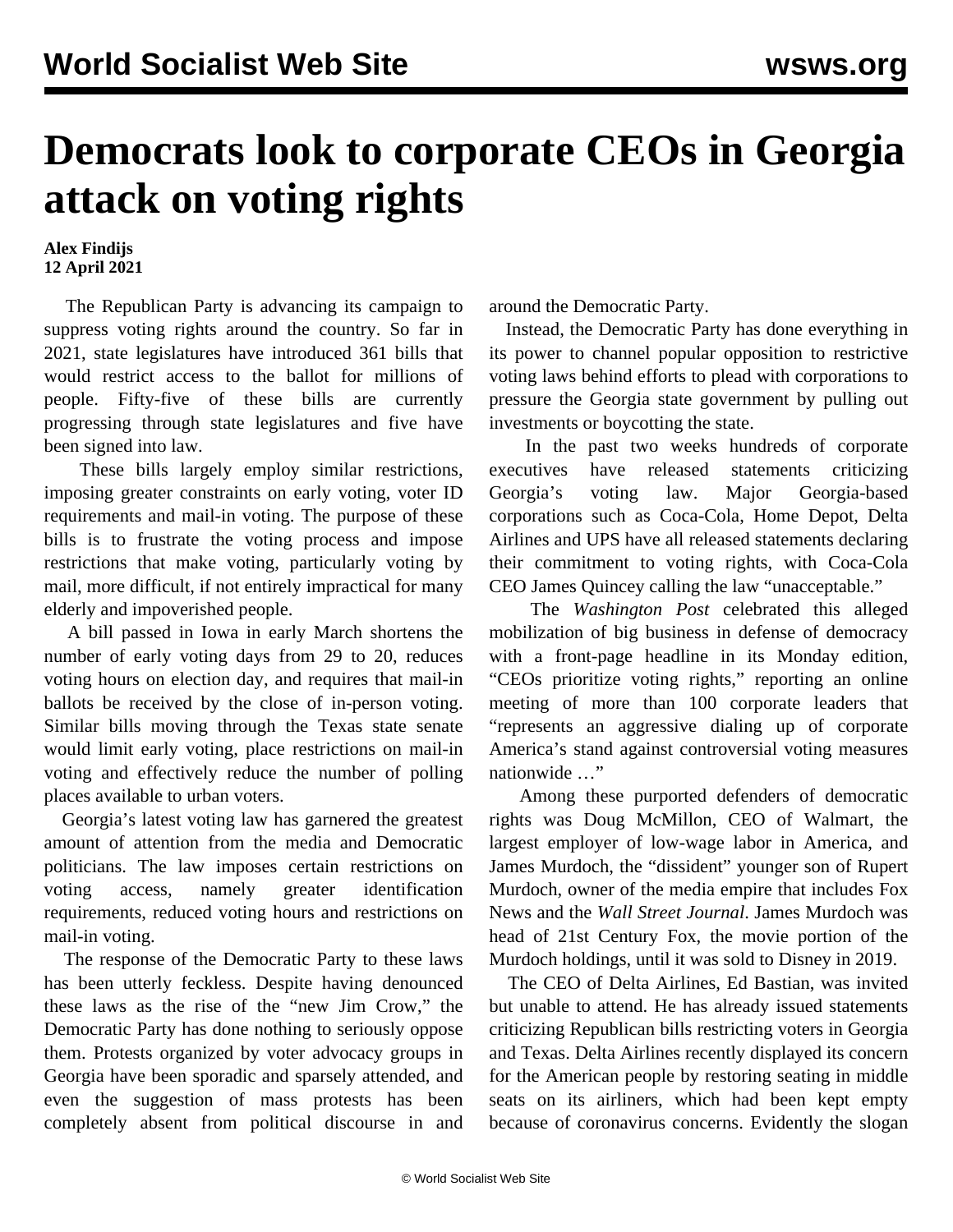## **Democrats look to corporate CEOs in Georgia attack on voting rights**

## **Alex Findijs 12 April 2021**

 The Republican Party is advancing its campaign to suppress voting rights around the country. So far in 2021, state legislatures have introduced 361 bills that would restrict access to the ballot for millions of people. Fifty-five of these bills are currently progressing through state legislatures and five have been signed into law.

 These bills largely employ similar restrictions, imposing greater constraints on early voting, voter ID requirements and mail-in voting. The purpose of these bills is to frustrate the voting process and impose restrictions that make voting, particularly voting by mail, more difficult, if not entirely impractical for many elderly and impoverished people.

 A bill passed in Iowa in early March shortens the number of early voting days from 29 to 20, reduces voting hours on election day, and requires that mail-in ballots be received by the close of in-person voting. Similar bills moving through the Texas state senate would limit early voting, place restrictions on mail-in voting and effectively reduce the number of polling places available to urban voters.

 Georgia's latest voting law has garnered the greatest amount of attention from the media and Democratic politicians. The law imposes certain restrictions on voting access, namely greater identification requirements, reduced voting hours and restrictions on mail-in voting.

 The response of the Democratic Party to these laws has been utterly feckless. Despite having denounced these laws as the rise of the "new Jim Crow," the Democratic Party has done nothing to seriously oppose them. Protests organized by voter advocacy groups in Georgia have been sporadic and sparsely attended, and even the suggestion of mass protests has been completely absent from political discourse in and

around the Democratic Party.

 Instead, the Democratic Party has done everything in its power to channel popular opposition to restrictive voting laws behind efforts to plead with corporations to pressure the Georgia state government by pulling out investments or boycotting the state.

 In the past two weeks hundreds of corporate executives have released statements criticizing Georgia's voting law. Major Georgia-based corporations such as Coca-Cola, Home Depot, Delta Airlines and UPS have all released statements declaring their commitment to voting rights, with Coca-Cola CEO James Quincey calling the law "unacceptable."

 The *Washington Post* celebrated this alleged mobilization of big business in defense of democracy with a front-page headline in its Monday edition, "CEOs prioritize voting rights," reporting an online meeting of more than 100 corporate leaders that "represents an aggressive dialing up of corporate America's stand against controversial voting measures nationwide …"

 Among these purported defenders of democratic rights was Doug McMillon, CEO of Walmart, the largest employer of low-wage labor in America, and James Murdoch, the "dissident" younger son of Rupert Murdoch, owner of the media empire that includes Fox News and the *Wall Street Journal*. James Murdoch was head of 21st Century Fox, the movie portion of the Murdoch holdings, until it was sold to Disney in 2019.

 The CEO of Delta Airlines, Ed Bastian, was invited but unable to attend. He has already issued statements criticizing Republican bills restricting voters in Georgia and Texas. Delta Airlines recently displayed its concern for the American people by restoring seating in middle seats on its airliners, which had been kept empty because of coronavirus concerns. Evidently the slogan